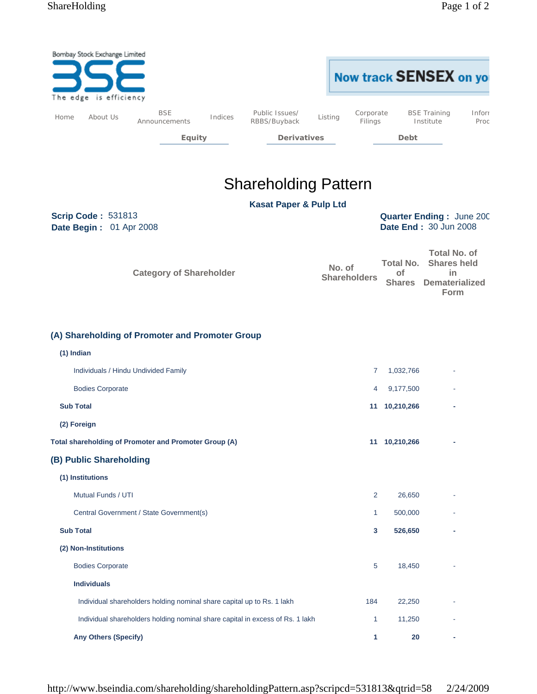|                                                                                                                  | Bombay Stock Exchange Limited<br>The edge is efficiency |                                                                               |         |                                   |  |                               |                      |                                  | Now track SENSEX on you                                                  |                |
|------------------------------------------------------------------------------------------------------------------|---------------------------------------------------------|-------------------------------------------------------------------------------|---------|-----------------------------------|--|-------------------------------|----------------------|----------------------------------|--------------------------------------------------------------------------|----------------|
| Home                                                                                                             | About Us                                                | <b>BSE</b><br>Announcements                                                   | Indices | Public Issues/<br>RBBS/Buyback    |  | Listing                       | Corporate<br>Filings |                                  | <b>BSE Training</b><br>Institute                                         | Inforr<br>Proc |
|                                                                                                                  |                                                         | <b>Equity</b>                                                                 |         | <b>Derivatives</b>                |  |                               |                      | Debt                             |                                                                          |                |
|                                                                                                                  |                                                         |                                                                               |         |                                   |  |                               |                      |                                  |                                                                          |                |
|                                                                                                                  |                                                         |                                                                               |         | <b>Shareholding Pattern</b>       |  |                               |                      |                                  |                                                                          |                |
|                                                                                                                  |                                                         |                                                                               |         | <b>Kasat Paper &amp; Pulp Ltd</b> |  |                               |                      |                                  |                                                                          |                |
| <b>Scrip Code: 531813</b><br><b>Quarter Ending: June 200</b><br>Date End: 30 Jun 2008<br>Date Begin: 01 Apr 2008 |                                                         |                                                                               |         |                                   |  |                               |                      |                                  |                                                                          |                |
|                                                                                                                  |                                                         | <b>Category of Shareholder</b>                                                |         |                                   |  | No. of<br><b>Shareholders</b> |                      | Total No.<br>of<br><b>Shares</b> | <b>Total No. of</b><br><b>Shares held</b><br>in<br><b>Dematerialized</b> |                |
|                                                                                                                  |                                                         | (A) Shareholding of Promoter and Promoter Group                               |         |                                   |  |                               |                      |                                  | Form                                                                     |                |
|                                                                                                                  | (1) Indian                                              |                                                                               |         |                                   |  |                               |                      |                                  |                                                                          |                |
|                                                                                                                  | Individuals / Hindu Undivided Family                    |                                                                               |         |                                   |  |                               | 7                    | 1,032,766                        |                                                                          |                |
|                                                                                                                  | <b>Bodies Corporate</b>                                 |                                                                               |         |                                   |  |                               | 4                    | 9,177,500                        |                                                                          |                |
| <b>Sub Total</b>                                                                                                 |                                                         |                                                                               |         |                                   |  |                               | 11 10,210,266        |                                  |                                                                          |                |
|                                                                                                                  | (2) Foreign                                             |                                                                               |         |                                   |  |                               |                      |                                  |                                                                          |                |
|                                                                                                                  |                                                         | Total shareholding of Promoter and Promoter Group (A)                         |         |                                   |  |                               |                      | 11 10,210,266                    |                                                                          |                |
|                                                                                                                  | (B) Public Shareholding                                 |                                                                               |         |                                   |  |                               |                      |                                  |                                                                          |                |
|                                                                                                                  | (1) Institutions                                        |                                                                               |         |                                   |  |                               |                      |                                  |                                                                          |                |
|                                                                                                                  | Mutual Funds / UTI                                      |                                                                               |         |                                   |  |                               | $\overline{2}$       | 26,650                           |                                                                          |                |
|                                                                                                                  |                                                         | Central Government / State Government(s)                                      |         |                                   |  |                               | 1                    | 500,000                          |                                                                          |                |
|                                                                                                                  | <b>Sub Total</b>                                        |                                                                               |         |                                   |  |                               | 3                    | 526,650                          |                                                                          |                |
|                                                                                                                  | (2) Non-Institutions                                    |                                                                               |         |                                   |  |                               |                      |                                  |                                                                          |                |
|                                                                                                                  | <b>Bodies Corporate</b>                                 |                                                                               |         |                                   |  |                               | 5                    | 18,450                           |                                                                          |                |
|                                                                                                                  | <b>Individuals</b>                                      |                                                                               |         |                                   |  |                               |                      |                                  |                                                                          |                |
|                                                                                                                  |                                                         | Individual shareholders holding nominal share capital up to Rs. 1 lakh        |         |                                   |  |                               | 184                  | 22,250                           |                                                                          |                |
|                                                                                                                  |                                                         | Individual shareholders holding nominal share capital in excess of Rs. 1 lakh |         |                                   |  |                               | 1                    | 11,250                           |                                                                          |                |
|                                                                                                                  | <b>Any Others (Specify)</b>                             |                                                                               |         |                                   |  |                               | 1                    | 20                               |                                                                          |                |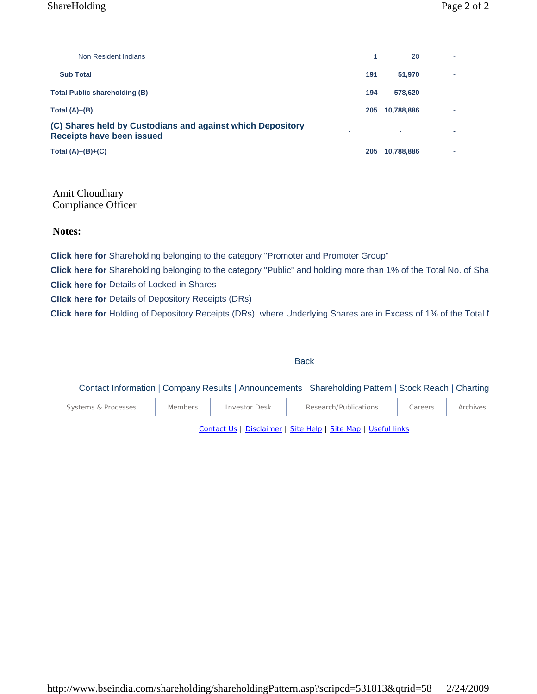## ShareHolding Page 2 of 2

| Non Resident Indians                                                                    |     | 20         |   |
|-----------------------------------------------------------------------------------------|-----|------------|---|
| <b>Sub Total</b>                                                                        | 191 | 51,970     | - |
| <b>Total Public shareholding (B)</b>                                                    | 194 | 578,620    | - |
| Total $(A)+(B)$                                                                         | 205 | 10,788,886 | - |
| (C) Shares held by Custodians and against which Depository<br>Receipts have been issued |     | ۰          |   |
| Total $(A)+(B)+(C)$                                                                     | 205 | 10,788,886 |   |

Amit Choudhary Compliance Officer

**Notes:**

**Click here for** Shareholding belonging to the category "Promoter and Promoter Group"

**Click here for** Shareholding belonging to the category "Public" and holding more than 1% of the Total No. of Sha **Click here for** Details of Locked-in Shares

**Click here for** Details of Depository Receipts (DRs)

**Click here for** Holding of Depository Receipts (DRs), where Underlying Shares are in Excess of 1% of the Total N

#### **Back**

## Contact Information | Company Results | Announcements | Shareholding Pattern | Stock Reach | Charting

Systems & Processes Members | Investor Desk | Research/Publications | Careers | Archives

Contact Us | Disclaimer | Site Help | Site Map | Useful links